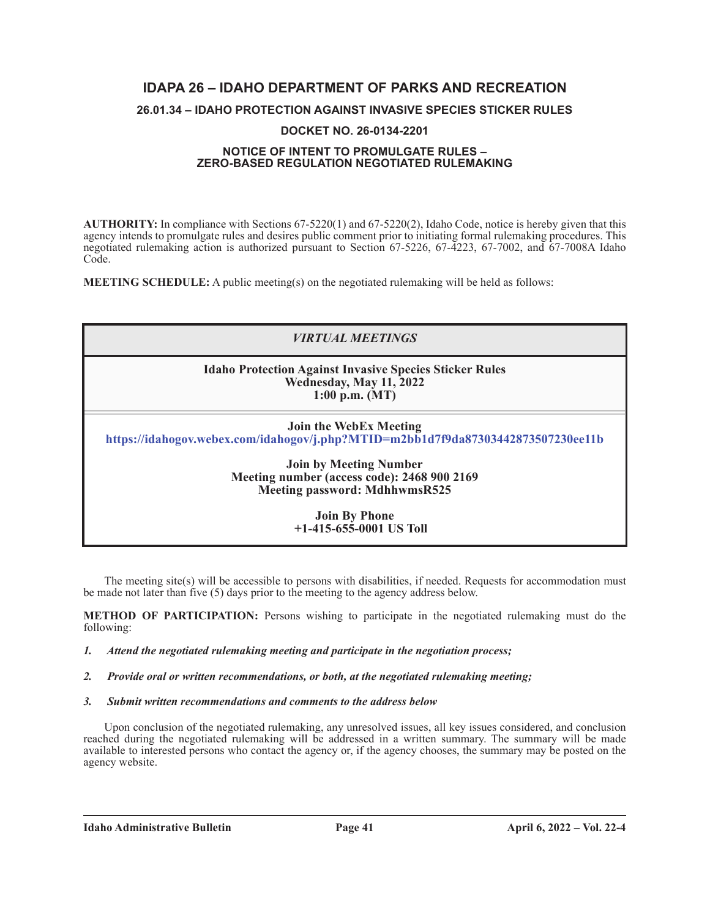## **IDAPA 26 – IDAHO DEPARTMENT OF PARKS AND RECREATION**

### **26.01.34 – IDAHO PROTECTION AGAINST INVASIVE SPECIES STICKER RULES**

#### **DOCKET NO. 26-0134-2201**

#### **NOTICE OF INTENT TO PROMULGATE RULES – ZERO-BASED REGULATION NEGOTIATED RULEMAKING**

**AUTHORITY:** In compliance with Sections 67-5220(1) and 67-5220(2), Idaho Code, notice is hereby given that this agency intends to promulgate rules and desires public comment prior to initiating formal rulemaking procedures. This negotiated rulemaking action is authorized pursuant to Section 67-5226, 67-4223, 67-7002, and 67-7008A Idaho Code.

**MEETING SCHEDULE:** A public meeting(s) on the negotiated rulemaking will be held as follows:

# *VIRTUAL MEETINGS* **Idaho Protection Against Invasive Species Sticker Rules Wednesday, May 11, 2022 1:00 p.m. (MT) Join the WebEx Meeting https://idahogov.webex.com/idahogov/j.php?MTID=m2bb1d7f9da87303442873507230ee11b Join by Meeting Number Meeting number (access code): 2468 900 2169 Meeting password: MdhhwmsR525 Join By Phone +1-415-655-0001 US Toll**

The meeting site(s) will be accessible to persons with disabilities, if needed. Requests for accommodation must be made not later than five (5) days prior to the meeting to the agency address below.

**METHOD OF PARTICIPATION:** Persons wishing to participate in the negotiated rulemaking must do the following:

#### *1. Attend the negotiated rulemaking meeting and participate in the negotiation process;*

- *2. Provide oral or written recommendations, or both, at the negotiated rulemaking meeting;*
- *3. Submit written recommendations and comments to the address below*

Upon conclusion of the negotiated rulemaking, any unresolved issues, all key issues considered, and conclusion reached during the negotiated rulemaking will be addressed in a written summary. The summary will be made available to interested persons who contact the agency or, if the agency chooses, the summary may be posted on the agency website.